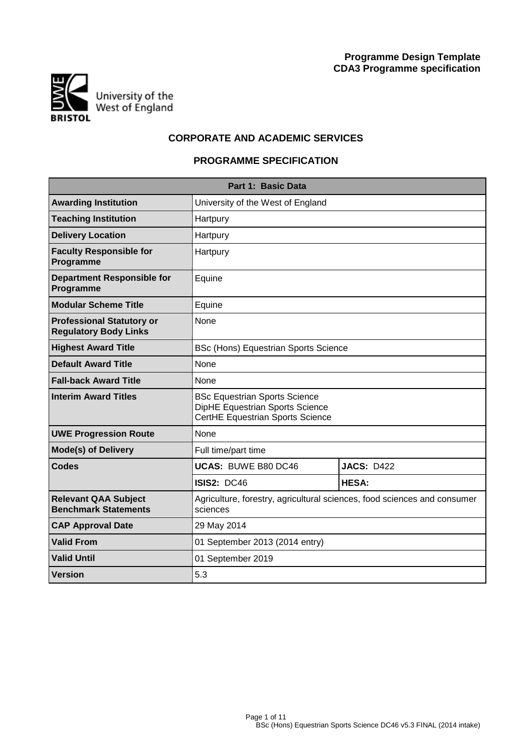

# **CORPORATE AND ACADEMIC SERVICES**

## **PROGRAMME SPECIFICATION**

| Part 1: Basic Data                                               |                                                                                                             |                   |  |  |  |  |  |  |  |  |  |  |  |  |  |  |  |  |  |  |
|------------------------------------------------------------------|-------------------------------------------------------------------------------------------------------------|-------------------|--|--|--|--|--|--|--|--|--|--|--|--|--|--|--|--|--|--|
| <b>Awarding Institution</b>                                      | University of the West of England                                                                           |                   |  |  |  |  |  |  |  |  |  |  |  |  |  |  |  |  |  |  |
| <b>Teaching Institution</b>                                      | Hartpury                                                                                                    |                   |  |  |  |  |  |  |  |  |  |  |  |  |  |  |  |  |  |  |
| <b>Delivery Location</b>                                         | Hartpury                                                                                                    |                   |  |  |  |  |  |  |  |  |  |  |  |  |  |  |  |  |  |  |
| <b>Faculty Responsible for</b><br>Programme                      | Hartpury                                                                                                    |                   |  |  |  |  |  |  |  |  |  |  |  |  |  |  |  |  |  |  |
| <b>Department Responsible for</b><br>Programme                   | Equine                                                                                                      |                   |  |  |  |  |  |  |  |  |  |  |  |  |  |  |  |  |  |  |
| <b>Modular Scheme Title</b>                                      | Equine                                                                                                      |                   |  |  |  |  |  |  |  |  |  |  |  |  |  |  |  |  |  |  |
| <b>Professional Statutory or</b><br><b>Regulatory Body Links</b> | None                                                                                                        |                   |  |  |  |  |  |  |  |  |  |  |  |  |  |  |  |  |  |  |
| <b>Highest Award Title</b>                                       | BSc (Hons) Equestrian Sports Science                                                                        |                   |  |  |  |  |  |  |  |  |  |  |  |  |  |  |  |  |  |  |
| <b>Default Award Title</b>                                       | None                                                                                                        |                   |  |  |  |  |  |  |  |  |  |  |  |  |  |  |  |  |  |  |
| <b>Fall-back Award Title</b>                                     | None                                                                                                        |                   |  |  |  |  |  |  |  |  |  |  |  |  |  |  |  |  |  |  |
| <b>Interim Award Titles</b>                                      | <b>BSc Equestrian Sports Science</b><br>DipHE Equestrian Sports Science<br>CertHE Equestrian Sports Science |                   |  |  |  |  |  |  |  |  |  |  |  |  |  |  |  |  |  |  |
| <b>UWE Progression Route</b>                                     | None                                                                                                        |                   |  |  |  |  |  |  |  |  |  |  |  |  |  |  |  |  |  |  |
| <b>Mode(s) of Delivery</b>                                       | Full time/part time                                                                                         |                   |  |  |  |  |  |  |  |  |  |  |  |  |  |  |  |  |  |  |
| <b>Codes</b>                                                     | <b>UCAS: BUWE B80 DC46</b>                                                                                  | <b>JACS: D422</b> |  |  |  |  |  |  |  |  |  |  |  |  |  |  |  |  |  |  |
|                                                                  | <b>ISIS2: DC46</b>                                                                                          | <b>HESA:</b>      |  |  |  |  |  |  |  |  |  |  |  |  |  |  |  |  |  |  |
| <b>Relevant QAA Subject</b><br><b>Benchmark Statements</b>       | Agriculture, forestry, agricultural sciences, food sciences and consumer<br>sciences                        |                   |  |  |  |  |  |  |  |  |  |  |  |  |  |  |  |  |  |  |
| <b>CAP Approval Date</b>                                         | 29 May 2014                                                                                                 |                   |  |  |  |  |  |  |  |  |  |  |  |  |  |  |  |  |  |  |
| <b>Valid From</b>                                                | 01 September 2013 (2014 entry)                                                                              |                   |  |  |  |  |  |  |  |  |  |  |  |  |  |  |  |  |  |  |
| <b>Valid Until</b>                                               | 01 September 2019                                                                                           |                   |  |  |  |  |  |  |  |  |  |  |  |  |  |  |  |  |  |  |
| <b>Version</b>                                                   | 5.3                                                                                                         |                   |  |  |  |  |  |  |  |  |  |  |  |  |  |  |  |  |  |  |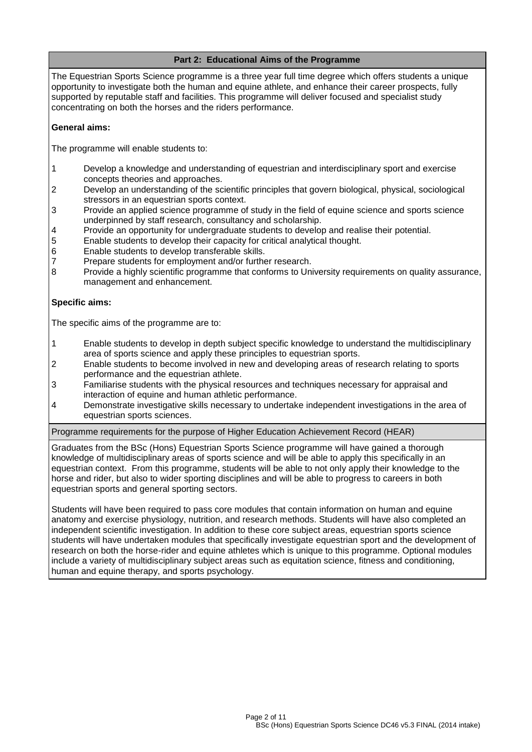## **Part 2: Educational Aims of the Programme**

The Equestrian Sports Science programme is a three year full time degree which offers students a unique opportunity to investigate both the human and equine athlete, and enhance their career prospects, fully supported by reputable staff and facilities. This programme will deliver focused and specialist study concentrating on both the horses and the riders performance.

### **General aims:**

The programme will enable students to:

- 1 Develop a knowledge and understanding of equestrian and interdisciplinary sport and exercise concepts theories and approaches.
- 2 Develop an understanding of the scientific principles that govern biological, physical, sociological stressors in an equestrian sports context.
- 3 Provide an applied science programme of study in the field of equine science and sports science underpinned by staff research, consultancy and scholarship.
- 4 Provide an opportunity for undergraduate students to develop and realise their potential.
- 5 Enable students to develop their capacity for critical analytical thought.
- 6 Enable students to develop transferable skills.
- 7 Prepare students for employment and/or further research.
- 8 Provide a highly scientific programme that conforms to University requirements on quality assurance, management and enhancement.

#### **Specific aims:**

The specific aims of the programme are to:

- 1 Enable students to develop in depth subject specific knowledge to understand the multidisciplinary area of sports science and apply these principles to equestrian sports.
- 2 Enable students to become involved in new and developing areas of research relating to sports performance and the equestrian athlete.
- 3 Familiarise students with the physical resources and techniques necessary for appraisal and interaction of equine and human athletic performance.
- 4 Demonstrate investigative skills necessary to undertake independent investigations in the area of equestrian sports sciences.

Programme requirements for the purpose of Higher Education Achievement Record (HEAR)

Graduates from the BSc (Hons) Equestrian Sports Science programme will have gained a thorough knowledge of multidisciplinary areas of sports science and will be able to apply this specifically in an equestrian context. From this programme, students will be able to not only apply their knowledge to the horse and rider, but also to wider sporting disciplines and will be able to progress to careers in both equestrian sports and general sporting sectors.

Students will have been required to pass core modules that contain information on human and equine anatomy and exercise physiology, nutrition, and research methods. Students will have also completed an independent scientific investigation. In addition to these core subject areas, equestrian sports science students will have undertaken modules that specifically investigate equestrian sport and the development of research on both the horse-rider and equine athletes which is unique to this programme. Optional modules include a variety of multidisciplinary subject areas such as equitation science, fitness and conditioning, human and equine therapy, and sports psychology.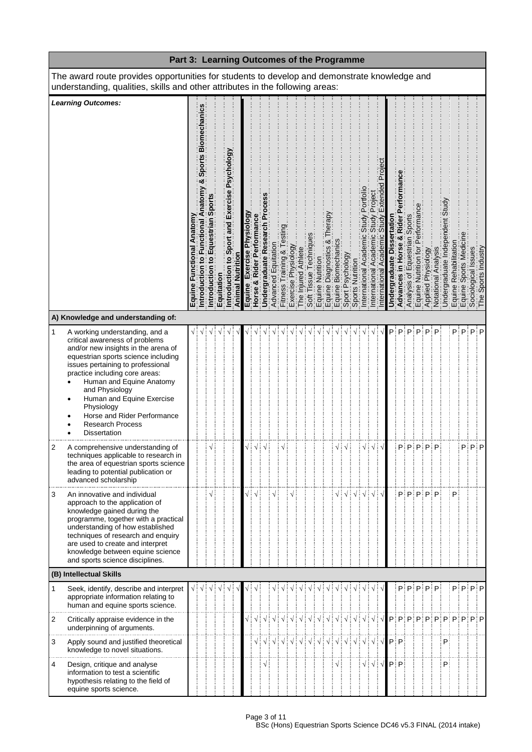|              | Part 3: Learning Outcomes of the Programme                                                                                                                                                                                                                                                                                                                                                      |  |                                                  |  |            |                                                                      |                  |                               |                                     |                              |                        |                            |                     |                     |           |                                                                                                                                                             |   |  |                    |                                                          |                      |               |                   |                      |          |                                                                      |                     |   |                |  |                                                                                                                                  |
|--------------|-------------------------------------------------------------------------------------------------------------------------------------------------------------------------------------------------------------------------------------------------------------------------------------------------------------------------------------------------------------------------------------------------|--|--------------------------------------------------|--|------------|----------------------------------------------------------------------|------------------|-------------------------------|-------------------------------------|------------------------------|------------------------|----------------------------|---------------------|---------------------|-----------|-------------------------------------------------------------------------------------------------------------------------------------------------------------|---|--|--------------------|----------------------------------------------------------|----------------------|---------------|-------------------|----------------------|----------|----------------------------------------------------------------------|---------------------|---|----------------|--|----------------------------------------------------------------------------------------------------------------------------------|
|              | The award route provides opportunities for students to develop and demonstrate knowledge and<br>understanding, qualities, skills and other attributes in the following areas:                                                                                                                                                                                                                   |  |                                                  |  |            |                                                                      |                  |                               |                                     |                              |                        |                            |                     |                     |           |                                                                                                                                                             |   |  |                    |                                                          |                      |               |                   |                      |          |                                                                      |                     |   |                |  |                                                                                                                                  |
|              | <b>Learning Outcomes:</b><br>A) Knowledge and understanding of:                                                                                                                                                                                                                                                                                                                                 |  | Sports Biomech<br>ಳ<br>Functional<br>ntroduction |  | Equitation | Psychology<br>$\overline{\mathbf{e}}$<br>Exerci<br>and<br>Introducti | Animal Nutrition | Exercise Physiology<br>Equine | <b>Rider Performance</b><br>Horse & | Undergraduate Research Proce | Equitation<br>Advanced | & Test<br>Fitness Training | Exercise Physiology | The Injured Athlete | echniques | Soft Tissue Technique<br>Equine Diagnostics &<br>Equine Diagnostics &<br>Equine Biomechanics<br>Sport Psychology<br>Sports Nutrition<br>Dinemational Academ | ఱ |  | Portfoll<br>Academ | Projec<br>Study<br>Academic<br>International             | emic<br>nternational | Undergraduate | Rider<br>Advances | Sports<br>Equestrian | formance | Analysis of Equestria<br>Equine Nutrition for P<br>Equine Physiology | Notational Analysis |   | Rehabilitation |  | Undergraduate Inder<br>  Equine Spons Medication<br>  Equine Spons Medication<br>  Equine Spons Industry<br>  The Spons Industry |
| $\mathbf{1}$ | A working understanding, and a<br>critical awareness of problems<br>and/or new insights in the arena of<br>equestrian sports science including<br>issues pertaining to professional<br>practice including core areas:<br>Human and Equine Anatomy<br>and Physiology<br>Human and Equine Exercise<br>Physiology<br>Horse and Rider Performance<br><b>Research Process</b><br><b>Dissertation</b> |  |                                                  |  |            |                                                                      |                  |                               |                                     |                              |                        |                            |                     |                     |           |                                                                                                                                                             |   |  |                    |                                                          |                      | Pi            | P                 | P                    |          |                                                                      | P                   |   |                |  | P∃P∃P∃P                                                                                                                          |
| 2            | A comprehensive understanding of<br>techniques applicable to research in<br>the area of equestrian sports science<br>leading to potential publication or<br>advanced scholarship                                                                                                                                                                                                                |  |                                                  |  |            |                                                                      |                  |                               |                                     |                              |                        |                            |                     |                     |           |                                                                                                                                                             |   |  | √¦                 | √∃                                                       |                      |               |                   |                      |          | PiPiPiPiP                                                            |                     |   |                |  | P P P                                                                                                                            |
| 3            | An innovative and individual<br>approach to the application of<br>knowledge gained during the<br>programme, together with a practical<br>understanding of how established<br>techniques of research and enquiry<br>are used to create and interpret<br>knowledge between equine science<br>and sports science disciplines.                                                                      |  |                                                  |  |            |                                                                      |                  | √ i                           | $\sqrt{ }$                          |                              |                        |                            |                     |                     |           |                                                                                                                                                             |   |  |                    | √ ։                                                      |                      |               |                   |                      |          | $P$ : $P$ : $P$ : $P$ : $P$                                          |                     |   | P              |  |                                                                                                                                  |
|              | (B) Intellectual Skills                                                                                                                                                                                                                                                                                                                                                                         |  |                                                  |  |            |                                                                      |                  |                               |                                     |                              |                        |                            |                     |                     |           |                                                                                                                                                             |   |  |                    |                                                          |                      |               |                   |                      |          |                                                                      |                     |   |                |  |                                                                                                                                  |
| 1            | Seek, identify, describe and interpret<br>appropriate information relating to<br>human and equine sports science.                                                                                                                                                                                                                                                                               |  | √∃√                                              |  |            |                                                                      |                  |                               |                                     |                              |                        |                            | V                   | V                   | $\sqrt{}$ |                                                                                                                                                             |   |  |                    |                                                          |                      |               |                   |                      |          |                                                                      | PiPiPiPiPi          |   |                |  | P∃P∃P∃P                                                                                                                          |
| 2            | Critically appraise evidence in the<br>underpinning of arguments.                                                                                                                                                                                                                                                                                                                               |  |                                                  |  |            |                                                                      |                  |                               |                                     |                              |                        |                            |                     |                     |           |                                                                                                                                                             |   |  |                    |                                                          |                      |               |                   |                      |          |                                                                      |                     |   |                |  | √┆√┊√┊√┊√┆√┆√┆√┆√┆√┆√┆√┆√│┍┊╒┆╒┆╒┆╒┆╒┆╒┆╒┆╒                                                                                      |
| 3            | Apply sound and justified theoretical<br>knowledge to novel situations.                                                                                                                                                                                                                                                                                                                         |  |                                                  |  |            |                                                                      |                  |                               |                                     |                              |                        |                            |                     |                     |           |                                                                                                                                                             |   |  |                    |                                                          |                      |               |                   |                      |          |                                                                      |                     | P |                |  |                                                                                                                                  |
| 4            | Design, critique and analyse<br>information to test a scientific<br>hypothesis relating to the field of<br>equine sports science.                                                                                                                                                                                                                                                               |  |                                                  |  |            |                                                                      |                  |                               |                                     |                              |                        |                            |                     |                     |           |                                                                                                                                                             |   |  |                    | $\sqrt{\frac{1}{2}}\sqrt{\frac{1}{2}}\sqrt{\frac{1}{2}}$ |                      |               | $P$ : P           |                      |          |                                                                      |                     | P |                |  |                                                                                                                                  |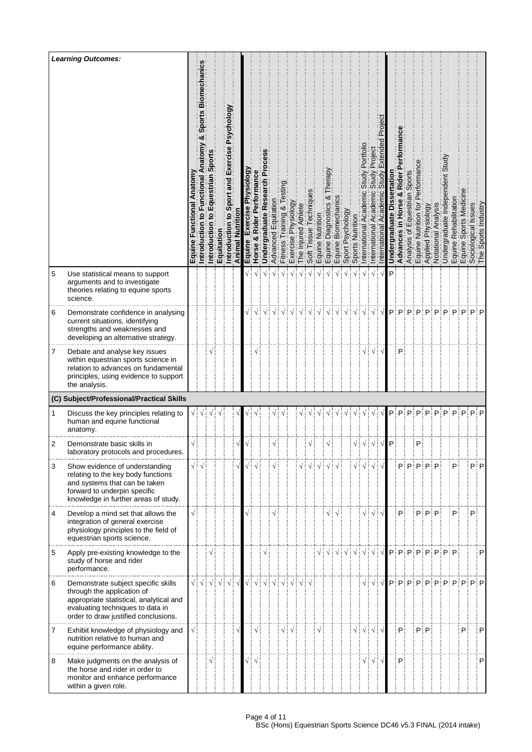|   | <b>Learning Outcomes:</b>                                                                                                                                                                | Equin | echani<br>Bio<br><b>Sports</b><br>Introdu | Introd | Equitati | ΘÖ<br>ō<br>ᢛ<br>Ŵ.<br>and<br>Introd         | Animal | Physiology<br>Exercise<br>Equine | Performance<br>Rider<br>ಳ<br>Horse     | Research<br>Undergraduate | Advanced   | lning<br>īā<br><b>Fitness</b> | <b>Kboloi</b><br>ise<br>Exerci | Athlete<br><b>ured</b><br>$\Phi$ | issue<br>Soft | Nutrition<br>quine | ఱ<br>Diagnosti<br>e<br>C | Biomechan<br>quine | sychology<br>Sport | Nutrition<br>Sports | nternational                                             | Academ<br>nternational | Underg | Rider<br>οð<br>Advances | Sport<br>an<br>is oi<br>Analysi | ō<br>Equine                                                                                                                | 웁<br>Applied    | hal<br>Notational                       | Undergr | Rehabil<br>Equine<br>Equine: | Sports                                   | Issues<br>ological<br>Soci | Industry<br>Sports |
|---|------------------------------------------------------------------------------------------------------------------------------------------------------------------------------------------|-------|-------------------------------------------|--------|----------|---------------------------------------------|--------|----------------------------------|----------------------------------------|---------------------------|------------|-------------------------------|--------------------------------|----------------------------------|---------------|--------------------|--------------------------|--------------------|--------------------|---------------------|----------------------------------------------------------|------------------------|--------|-------------------------|---------------------------------|----------------------------------------------------------------------------------------------------------------------------|-----------------|-----------------------------------------|---------|------------------------------|------------------------------------------|----------------------------|--------------------|
| 5 | Use statistical means to support<br>arguments and to investigate<br>theories relating to equine sports<br>science.                                                                       |       |                                           |        |          |                                             |        |                                  |                                        |                           |            |                               |                                |                                  |               |                    |                          |                    |                    |                     |                                                          |                        | Þ      |                         |                                 |                                                                                                                            |                 |                                         |         |                              |                                          |                            |                    |
| 6 | Demonstrate confidence in analysing<br>current situations, identifying<br>strengths and weaknesses and<br>developing an alternative strategy.                                            |       |                                           |        |          |                                             |        |                                  |                                        |                           |            |                               |                                |                                  |               |                    |                          |                    |                    |                     |                                                          |                        |        | P∃P                     | P                               | P                                                                                                                          | P               | P                                       | P       |                              | ∶P                                       | $P$ : P                    |                    |
| 7 | Debate and analyse key issues<br>within equestrian sports science in<br>relation to advances on fundamental<br>principles, using evidence to support<br>the analysis.                    |       |                                           |        |          |                                             |        |                                  |                                        |                           |            |                               |                                |                                  |               |                    |                          |                    |                    |                     |                                                          | V                      |        | P                       |                                 |                                                                                                                            |                 |                                         |         |                              |                                          |                            |                    |
|   | (C) Subject/Professional/Practical Skills                                                                                                                                                |       |                                           |        |          |                                             |        |                                  |                                        |                           |            |                               |                                |                                  |               |                    |                          |                    |                    |                     |                                                          |                        |        |                         |                                 |                                                                                                                            |                 |                                         |         |                              |                                          |                            |                    |
| 1 | Discuss the key principles relating to<br>human and equine functional<br>anatomy.                                                                                                        | √∶    |                                           |        |          |                                             |        |                                  |                                        |                           |            |                               |                                |                                  |               |                    |                          |                    |                    |                     |                                                          |                        | Pi     | P:                      | P                               | P                                                                                                                          | P               | P                                       | P       |                              | $P$ : $P$ : $P$ : $P$                    |                            |                    |
| 2 | Demonstrate basic skills in<br>laboratory protocols and procedures.                                                                                                                      |       |                                           |        |          |                                             |        |                                  |                                        |                           |            |                               |                                |                                  |               |                    |                          |                    |                    | √∶√                 |                                                          |                        | P      |                         |                                 | P                                                                                                                          |                 |                                         |         |                              |                                          |                            |                    |
| 3 | Show evidence of understanding<br>relating to the key body functions<br>and systems that can be taken<br>forward to underpin specific<br>knowledge in further areas of study.            |       | $\sqrt{\frac{1}{2}}\sqrt{\frac{1}{2}}$    |        |          |                                             |        |                                  |                                        |                           |            |                               |                                |                                  |               |                    |                          |                    |                    |                     | √∔√∔√                                                    |                        |        |                         |                                 | $\mathsf{P}_i^{\text{!`}}\mathsf{P}_i^{\text{!`}}\mathsf{P}_i^{\text{!`}}\mathsf{P}_i^{\text{!`}}\mathsf{P}_i^{\text{!`}}$ |                 |                                         |         | P                            |                                          | Pi P                       |                    |
| 4 | Develop a mind set that allows the<br>integration of general exercise<br>physiology principles to the field of<br>equestrian sports science.                                             |       |                                           |        |          |                                             |        |                                  |                                        |                           |            |                               |                                |                                  |               |                    |                          |                    |                    |                     |                                                          | $\sqrt{2}$             |        | P.                      |                                 |                                                                                                                            | $P$ : $P$ : $P$ |                                         |         | P                            |                                          | P                          |                    |
| 5 | Apply pre-existing knowledge to the<br>study of horse and rider<br>performance.                                                                                                          |       |                                           |        |          |                                             |        |                                  |                                        |                           |            |                               |                                |                                  |               |                    |                          |                    |                    |                     | $\sqrt{\frac{1}{2}}\sqrt{\frac{1}{2}}\sqrt{\frac{1}{2}}$ |                        |        |                         |                                 |                                                                                                                            |                 | $P$ $P$ $P$ $P$ $P$ $P$ $P$ $P$ $P$ $P$ |         |                              |                                          |                            | P                  |
| 6 | Demonstrate subject specific skills<br>through the application of<br>appropriate statistical, analytical and<br>evaluating techniques to data in<br>order to draw justified conclusions. |       | √∃√∃                                      |        |          | $\sqrt{3}$ $\sqrt{3}$ $\sqrt{3}$ $\sqrt{3}$ |        |                                  | $\sqrt{\frac{1}{2}}\sqrt{\frac{1}{2}}$ |                           | $\sqrt{2}$ |                               |                                |                                  |               |                    |                          |                    |                    |                     |                                                          |                        |        |                         |                                 |                                                                                                                            |                 |                                         |         |                              | $\mathsf{p}$ : p: p: p: p: p: p: p: p: p |                            |                    |
| 7 | Exhibit knowledge of physiology and<br>nutrition relative to human and<br>equine performance ability.                                                                                    |       |                                           |        |          |                                             |        |                                  | $\sqrt{}$                              |                           |            |                               | √┊√                            |                                  |               |                    |                          |                    |                    |                     | √∃√∃√∃                                                   |                        |        | Pi                      |                                 |                                                                                                                            | P∃P             |                                         |         |                              | P.                                       |                            | P                  |
| 8 | Make judgments on the analysis of<br>the horse and rider in order to<br>monitor and enhance performance<br>within a given role.                                                          |       |                                           |        |          |                                             |        |                                  | √∶√                                    |                           |            |                               |                                |                                  |               |                    |                          |                    |                    |                     | √∔√                                                      |                        |        | P                       |                                 |                                                                                                                            |                 |                                         |         |                              |                                          |                            | P                  |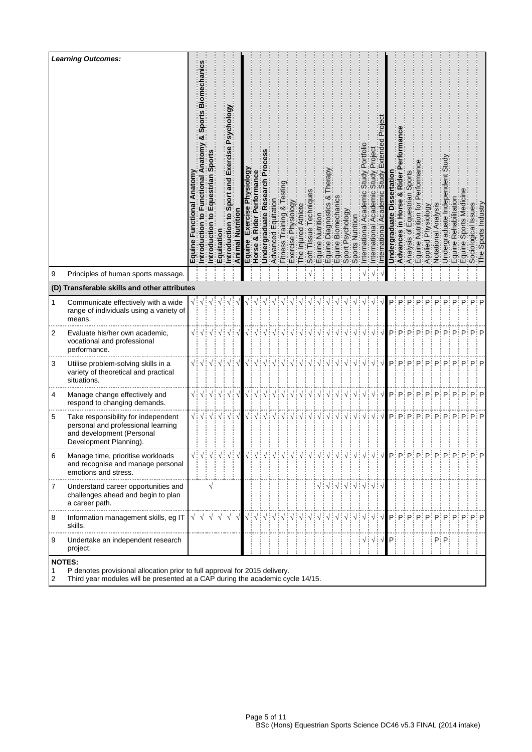|        | <b>Learning Outcomes:</b>                                                                                                                                                     | Equine | m<br>Sport<br>ional<br>Funct<br>$\ddot{\mathbf{Q}}$<br>۰<br>ntroducti | Introdu | Equitation       | êο<br><b>Dols</b><br>Ρš<br>and<br>ntrod                                                                        | Animal     | <b>Aboloi</b><br>8<br>Equine | Performance<br>Rider<br>ಳ<br>Horse     | Research Pr<br><b>Undergraduate</b>                                                                                                                                                                                                                                                                                                                                                                                                                                                                                                                                                                                                                                             | Advanced | $\frac{8}{1}$ Tes<br>lraining<br><b>Fitness</b> | Physiology<br>ise<br>Exerci | Athlete<br>njured<br><u>ღ</u>                            | echniqu<br>issue<br>Soft | ne Nutrition          | ఱ<br>Diagnostics<br>quine | Biomechani<br>Equine I                                                                                                                                                                                                                                                                                                                                                                                                                | Psychology<br>Sport  | Nutrition<br>Sports N                  | Acaderr<br>nternational                                                                      | Academi<br>nternational                                  | emic | ertat<br>Undel | Rider<br>×ŏ<br>n Horse<br>Advances | Sports<br>estrian<br>is of<br>Analysi | tor<br>Equine I         | ត្ត<br>عَ<br>Applied | Analysi<br>Notational                                                                                                                                                                                                                                                                                                                                                                         | $\overline{\mathbf{e}}$<br>Undergraduat | Rehabil<br>Equine I<br>Equine 3 | Sports | ssues<br>ological<br>ັ້ງອື່ນ<br>The | ndustry<br>Sports |
|--------|-------------------------------------------------------------------------------------------------------------------------------------------------------------------------------|--------|-----------------------------------------------------------------------|---------|------------------|----------------------------------------------------------------------------------------------------------------|------------|------------------------------|----------------------------------------|---------------------------------------------------------------------------------------------------------------------------------------------------------------------------------------------------------------------------------------------------------------------------------------------------------------------------------------------------------------------------------------------------------------------------------------------------------------------------------------------------------------------------------------------------------------------------------------------------------------------------------------------------------------------------------|----------|-------------------------------------------------|-----------------------------|----------------------------------------------------------|--------------------------|-----------------------|---------------------------|---------------------------------------------------------------------------------------------------------------------------------------------------------------------------------------------------------------------------------------------------------------------------------------------------------------------------------------------------------------------------------------------------------------------------------------|----------------------|----------------------------------------|----------------------------------------------------------------------------------------------|----------------------------------------------------------|------|----------------|------------------------------------|---------------------------------------|-------------------------|----------------------|-----------------------------------------------------------------------------------------------------------------------------------------------------------------------------------------------------------------------------------------------------------------------------------------------------------------------------------------------------------------------------------------------|-----------------------------------------|---------------------------------|--------|-------------------------------------|-------------------|
| 9      | Principles of human sports massage.                                                                                                                                           |        |                                                                       |         |                  |                                                                                                                |            |                              |                                        |                                                                                                                                                                                                                                                                                                                                                                                                                                                                                                                                                                                                                                                                                 |          |                                                 |                             |                                                          |                          |                       |                           |                                                                                                                                                                                                                                                                                                                                                                                                                                       |                      |                                        |                                                                                              |                                                          |      |                |                                    |                                       |                         |                      |                                                                                                                                                                                                                                                                                                                                                                                               |                                         |                                 |        |                                     |                   |
|        | (D) Transferable skills and other attributes                                                                                                                                  |        |                                                                       |         |                  |                                                                                                                |            |                              |                                        |                                                                                                                                                                                                                                                                                                                                                                                                                                                                                                                                                                                                                                                                                 |          |                                                 |                             |                                                          |                          |                       |                           |                                                                                                                                                                                                                                                                                                                                                                                                                                       |                      |                                        |                                                                                              |                                                          |      |                |                                    |                                       |                         |                      |                                                                                                                                                                                                                                                                                                                                                                                               |                                         |                                 |        |                                     |                   |
| 1      | Communicate effectively with a wide<br>range of individuals using a variety of<br>means.                                                                                      |        | √∶√                                                                   |         |                  |                                                                                                                |            |                              |                                        |                                                                                                                                                                                                                                                                                                                                                                                                                                                                                                                                                                                                                                                                                 |          |                                                 |                             |                                                          |                          |                       |                           |                                                                                                                                                                                                                                                                                                                                                                                                                                       |                      |                                        |                                                                                              |                                                          |      | P              | P                                  | D                                     | D                       | D                    | D                                                                                                                                                                                                                                                                                                                                                                                             |                                         | D                               | D      |                                     | P∶P               |
| 2      | Evaluate his/her own academic,<br>vocational and professional<br>performance.                                                                                                 |        |                                                                       |         |                  | $\sqrt{\frac{1}{2}}\sqrt{\frac{1}{2}}\sqrt{\frac{1}{2}}\sqrt{\frac{1}{2}}\sqrt{\frac{1}{2}}\sqrt{\frac{1}{2}}$ |            | $\sqrt{\frac{1}{2}}$         | $\sqrt{2}$                             |                                                                                                                                                                                                                                                                                                                                                                                                                                                                                                                                                                                                                                                                                 |          |                                                 |                             | $\sqrt{\frac{1}{2}}\sqrt{\frac{1}{2}}\sqrt{\frac{1}{2}}$ |                          |                       |                           |                                                                                                                                                                                                                                                                                                                                                                                                                                       | $\sqrt{\frac{1}{2}}$ | $\sqrt{\frac{1}{2}}$                   | $\sqrt{\frac{1}{2}}$                                                                         | √┊                                                       |      |                |                                    |                                       | $P$ : $P$ : $P$ : $P$ : | P                    | P                                                                                                                                                                                                                                                                                                                                                                                             |                                         | $P$ : $P$ : $P$ : $P$ : $P$     |        |                                     |                   |
| 3      | Utilise problem-solving skills in a<br>variety of theoretical and practical<br>situations.                                                                                    |        |                                                                       |         |                  | $\sqrt{\frac{1}{2}}\sqrt{\frac{1}{2}}\sqrt{\frac{1}{2}}\sqrt{\frac{1}{2}}\sqrt{\frac{1}{2}}\sqrt{\frac{1}{2}}$ |            |                              | $\sqrt{\frac{1}{2}}\sqrt{\frac{1}{2}}$ |                                                                                                                                                                                                                                                                                                                                                                                                                                                                                                                                                                                                                                                                                 |          |                                                 |                             |                                                          |                          |                       |                           |                                                                                                                                                                                                                                                                                                                                                                                                                                       |                      | $\sqrt{\frac{1}{2}}\sqrt{\frac{1}{2}}$ |                                                                                              | $\sqrt{\frac{1}{2}}\sqrt{\frac{1}{2}}\sqrt{\frac{1}{2}}$ |      |                |                                    |                                       |                         |                      | $\mathsf{p};\mathsf{p};\mathsf{p};\mathsf{p};\mathsf{p};\mathsf{p};\mathsf{p};\mathsf{p};\mathsf{p};\mathsf{p}$                                                                                                                                                                                                                                                                               |                                         |                                 |        |                                     |                   |
| 4      | Manage change effectively and<br>respond to changing demands.                                                                                                                 |        |                                                                       |         |                  | $\sqrt{\frac{1}{2}}\sqrt{\frac{1}{2}}\sqrt{\frac{1}{2}}\sqrt{\frac{1}{2}}\sqrt{\frac{1}{2}}\sqrt{\frac{1}{2}}$ |            |                              | $\sqrt{\frac{1}{2}}\sqrt{\frac{1}{2}}$ |                                                                                                                                                                                                                                                                                                                                                                                                                                                                                                                                                                                                                                                                                 |          |                                                 |                             |                                                          |                          | VIVIVIVIVIVIVIVIVIVIV |                           |                                                                                                                                                                                                                                                                                                                                                                                                                                       |                      |                                        |                                                                                              |                                                          |      |                |                                    |                                       |                         |                      | p; p; p; p; p; p; p; p; p; p; p                                                                                                                                                                                                                                                                                                                                                               |                                         |                                 |        |                                     |                   |
| 5      | Take responsibility for independent<br>personal and professional learning<br>and development (Personal<br>Development Planning).                                              |        |                                                                       |         |                  | $\sqrt{2}$ $\sqrt{2}$                                                                                          |            |                              | $\sqrt{\frac{1}{2}}\sqrt{\frac{1}{2}}$ |                                                                                                                                                                                                                                                                                                                                                                                                                                                                                                                                                                                                                                                                                 |          |                                                 |                             |                                                          |                          |                       |                           |                                                                                                                                                                                                                                                                                                                                                                                                                                       |                      |                                        | $\sqrt{\frac{1}{2}}\sqrt{\frac{1}{2}}\sqrt{\frac{1}{2}}\sqrt{\frac{1}{2}}\sqrt{\frac{1}{2}}$ |                                                          |      |                |                                    |                                       |                         |                      | $\mathsf{P}_i^{\text{!`}}\mathsf{P}_i^{\text{!`}}\mathsf{P}_i^{\text{!`}}\mathsf{P}_i^{\text{!`}}\mathsf{P}_i^{\text{!`}}\mathsf{P}_i^{\text{!`}}\mathsf{P}_i^{\text{!`}}\mathsf{P}_i^{\text{!`}}\mathsf{P}_i^{\text{!`}}\mathsf{P}_i^{\text{!`}}\mathsf{P}_i^{\text{!`}}\mathsf{P}_i^{\text{!`}}\mathsf{P}_i^{\text{!`}}\mathsf{P}_i^{\text{!`}}\mathsf{P}_i^{\text{!`}}\mathsf{P}_i^{\text$ |                                         |                                 |        |                                     |                   |
| 6      | Manage time, prioritise workloads<br>and recognise and manage personal<br>emotions and stress.                                                                                |        |                                                                       |         |                  | √┊√┊√┊√┊√┊√                                                                                                    |            | $\sqrt{ }$ :                 |                                        |                                                                                                                                                                                                                                                                                                                                                                                                                                                                                                                                                                                                                                                                                 |          |                                                 |                             |                                                          |                          |                       |                           |                                                                                                                                                                                                                                                                                                                                                                                                                                       |                      |                                        | $\sqrt{ }$ :                                                                                 |                                                          |      |                |                                    |                                       |                         |                      | $\sqrt{\frac{1}{2}}\sqrt{\frac{1}{2}}P$ : $P$ : $P$ : $P$ : $P$ :                                                                                                                                                                                                                                                                                                                             |                                         | $P$ : $P$ : $P$ : $P$ : $P$     |        |                                     |                   |
| 7      | Understand career opportunities and<br>challenges ahead and begin to plan<br>a career path.                                                                                   |        |                                                                       | V       |                  |                                                                                                                |            |                              |                                        |                                                                                                                                                                                                                                                                                                                                                                                                                                                                                                                                                                                                                                                                                 |          |                                                 |                             |                                                          |                          |                       |                           | $\begin{array}{c} \sqrt{3} & \sqrt{3} & \sqrt{3} \\ \sqrt{3} & \sqrt{3} & \sqrt{3} \\ \sqrt{3} & \sqrt{3} & \sqrt{3} \\ \sqrt{3} & \sqrt{3} & \sqrt{3} \\ \sqrt{3} & \sqrt{3} & \sqrt{3} \\ \sqrt{3} & \sqrt{3} & \sqrt{3} \\ \sqrt{3} & \sqrt{3} & \sqrt{3} \\ \sqrt{3} & \sqrt{3} & \sqrt{3} \\ \sqrt{3} & \sqrt{3} & \sqrt{3} \\ \sqrt{3} & \sqrt{3} & \sqrt{3} \\ \sqrt{3} & \sqrt{3} & \sqrt{3} \\ \sqrt{3} & \sqrt{3} & \sqrt{$ |                      |                                        |                                                                                              |                                                          |      |                |                                    |                                       |                         |                      |                                                                                                                                                                                                                                                                                                                                                                                               |                                         |                                 |        |                                     |                   |
| 8      | Information management skills, eg IT<br>skills.                                                                                                                               |        | $\sqrt{}$                                                             |         | $\sqrt{\sqrt{}}$ | $\sqrt{ }$                                                                                                     | $\sqrt{ }$ |                              |                                        | $\begin{array}{c} \bigtriangledown\vdots \bigtriangleup\vdots \bigtriangleup\vdots \bigtriangleup\vdots \bigtriangleup\vdots \bigtriangleup\vdots \bigtriangleup\vdots \bigtriangleup\vdots \bigtriangleup\vdots \bigtriangleup\vdots \bigtriangleup\vdots \bigtriangleup\vdots \bigtriangleup\vdots \bigtriangleup\vdots \bigtriangleup\vdots \bigtriangleup\vdots \bigtriangleup\vdots \bigtriangleup\vdots \bigtriangleup\vdots \bigtriangleup\vdots \bigtriangleup\vdots \bigtriangleup\vdots \bigtriangleup\vdots \bigtriangleup\vdots \bigtriangleup\vdots \bigtriangleup\vdots \bigtriangleup\vdots \bigtriangleup\vdots \bigtriangleup\vdots \bigtriangleup\vdots \big$ |          |                                                 |                             |                                                          |                          |                       |                           |                                                                                                                                                                                                                                                                                                                                                                                                                                       |                      |                                        |                                                                                              |                                                          |      |                |                                    |                                       |                         |                      | p:p:p:p:p:p:p:p:p:p:p                                                                                                                                                                                                                                                                                                                                                                         |                                         |                                 |        |                                     |                   |
| 9      | Undertake an independent research<br>project.                                                                                                                                 |        |                                                                       |         |                  |                                                                                                                |            |                              |                                        |                                                                                                                                                                                                                                                                                                                                                                                                                                                                                                                                                                                                                                                                                 |          |                                                 |                             |                                                          |                          |                       |                           |                                                                                                                                                                                                                                                                                                                                                                                                                                       |                      |                                        |                                                                                              | $\sqrt{2}$ $\sqrt{2}$                                    |      |                |                                    |                                       |                         |                      |                                                                                                                                                                                                                                                                                                                                                                                               | $P$ : $P$ :                             |                                 |        |                                     |                   |
| 1<br>2 | <b>NOTES:</b><br>P denotes provisional allocation prior to full approval for 2015 delivery.<br>Third year modules will be presented at a CAP during the academic cycle 14/15. |        |                                                                       |         |                  |                                                                                                                |            |                              |                                        |                                                                                                                                                                                                                                                                                                                                                                                                                                                                                                                                                                                                                                                                                 |          |                                                 |                             |                                                          |                          |                       |                           |                                                                                                                                                                                                                                                                                                                                                                                                                                       |                      |                                        |                                                                                              |                                                          |      |                |                                    |                                       |                         |                      |                                                                                                                                                                                                                                                                                                                                                                                               |                                         |                                 |        |                                     |                   |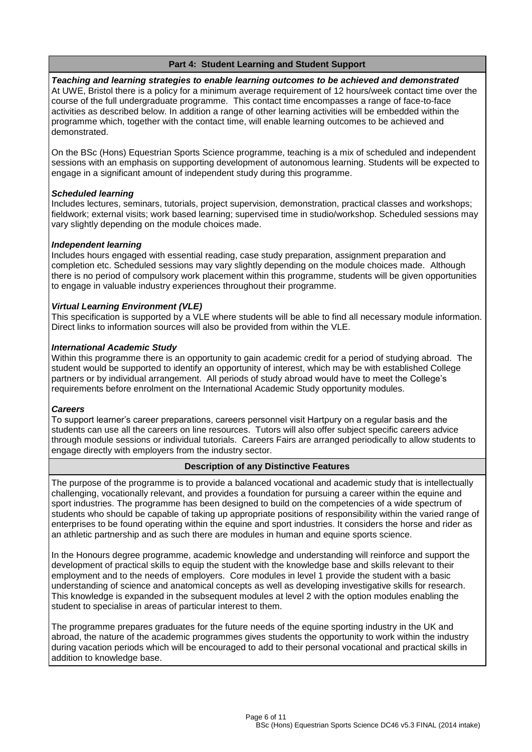## **Part 4: Student Learning and Student Support**

*Teaching and learning strategies to enable learning outcomes to be achieved and demonstrated* At UWE, Bristol there is a policy for a minimum average requirement of 12 hours/week contact time over the course of the full undergraduate programme. This contact time encompasses a range of face-to-face activities as described below. In addition a range of other learning activities will be embedded within the programme which, together with the contact time, will enable learning outcomes to be achieved and demonstrated.

On the BSc (Hons) Equestrian Sports Science programme, teaching is a mix of scheduled and independent sessions with an emphasis on supporting development of autonomous learning. Students will be expected to engage in a significant amount of independent study during this programme.

### *Scheduled learning*

Includes lectures, seminars, tutorials, project supervision, demonstration, practical classes and workshops; fieldwork; external visits; work based learning; supervised time in studio/workshop. Scheduled sessions may vary slightly depending on the module choices made.

### *Independent learning*

Includes hours engaged with essential reading, case study preparation, assignment preparation and completion etc. Scheduled sessions may vary slightly depending on the module choices made. Although there is no period of compulsory work placement within this programme, students will be given opportunities to engage in valuable industry experiences throughout their programme.

### *Virtual Learning Environment (VLE)*

This specification is supported by a VLE where students will be able to find all necessary module information. Direct links to information sources will also be provided from within the VLE.

#### *International Academic Study*

Within this programme there is an opportunity to gain academic credit for a period of studying abroad. The student would be supported to identify an opportunity of interest, which may be with established College partners or by individual arrangement. All periods of study abroad would have to meet the College's requirements before enrolment on the International Academic Study opportunity modules.

#### *Careers*

To support learner's career preparations, careers personnel visit Hartpury on a regular basis and the students can use all the careers on line resources. Tutors will also offer subject specific careers advice through module sessions or individual tutorials. Careers Fairs are arranged periodically to allow students to engage directly with employers from the industry sector.

### **Description of any Distinctive Features**

The purpose of the programme is to provide a balanced vocational and academic study that is intellectually challenging, vocationally relevant, and provides a foundation for pursuing a career within the equine and sport industries. The programme has been designed to build on the competencies of a wide spectrum of students who should be capable of taking up appropriate positions of responsibility within the varied range of enterprises to be found operating within the equine and sport industries. It considers the horse and rider as an athletic partnership and as such there are modules in human and equine sports science.

In the Honours degree programme, academic knowledge and understanding will reinforce and support the development of practical skills to equip the student with the knowledge base and skills relevant to their employment and to the needs of employers. Core modules in level 1 provide the student with a basic understanding of science and anatomical concepts as well as developing investigative skills for research. This knowledge is expanded in the subsequent modules at level 2 with the option modules enabling the student to specialise in areas of particular interest to them.

The programme prepares graduates for the future needs of the equine sporting industry in the UK and abroad, the nature of the academic programmes gives students the opportunity to work within the industry during vacation periods which will be encouraged to add to their personal vocational and practical skills in addition to knowledge base.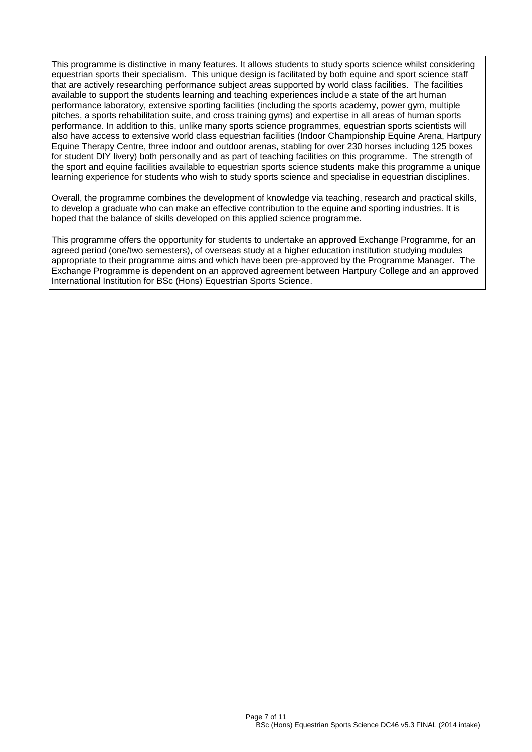This programme is distinctive in many features. It allows students to study sports science whilst considering equestrian sports their specialism. This unique design is facilitated by both equine and sport science staff that are actively researching performance subject areas supported by world class facilities. The facilities available to support the students learning and teaching experiences include a state of the art human performance laboratory, extensive sporting facilities (including the sports academy, power gym, multiple pitches, a sports rehabilitation suite, and cross training gyms) and expertise in all areas of human sports performance. In addition to this, unlike many sports science programmes, equestrian sports scientists will also have access to extensive world class equestrian facilities (Indoor Championship Equine Arena, Hartpury Equine Therapy Centre, three indoor and outdoor arenas, stabling for over 230 horses including 125 boxes for student DIY livery) both personally and as part of teaching facilities on this programme. The strength of the sport and equine facilities available to equestrian sports science students make this programme a unique learning experience for students who wish to study sports science and specialise in equestrian disciplines.

Overall, the programme combines the development of knowledge via teaching, research and practical skills, to develop a graduate who can make an effective contribution to the equine and sporting industries. It is hoped that the balance of skills developed on this applied science programme.

This programme offers the opportunity for students to undertake an approved Exchange Programme, for an agreed period (one/two semesters), of overseas study at a higher education institution studying modules appropriate to their programme aims and which have been pre-approved by the Programme Manager. The Exchange Programme is dependent on an approved agreement between Hartpury College and an approved International Institution for BSc (Hons) Equestrian Sports Science.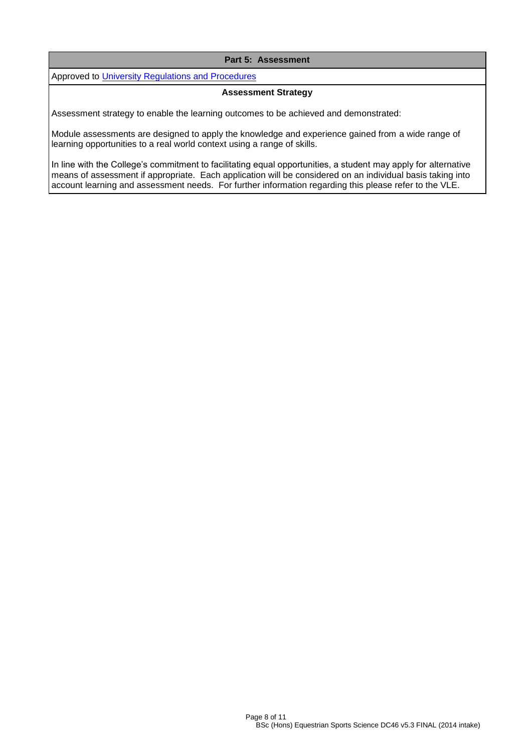### **Part 5: Assessment**

Approved to [University Regulations and Procedures](http://www1.uwe.ac.uk/students/academicadvice/assessments/regulationsandprocedures.aspx)

#### **Assessment Strategy**

Assessment strategy to enable the learning outcomes to be achieved and demonstrated:

Module assessments are designed to apply the knowledge and experience gained from a wide range of learning opportunities to a real world context using a range of skills.

In line with the College's commitment to facilitating equal opportunities, a student may apply for alternative means of assessment if appropriate. Each application will be considered on an individual basis taking into account learning and assessment needs. For further information regarding this please refer to the VLE.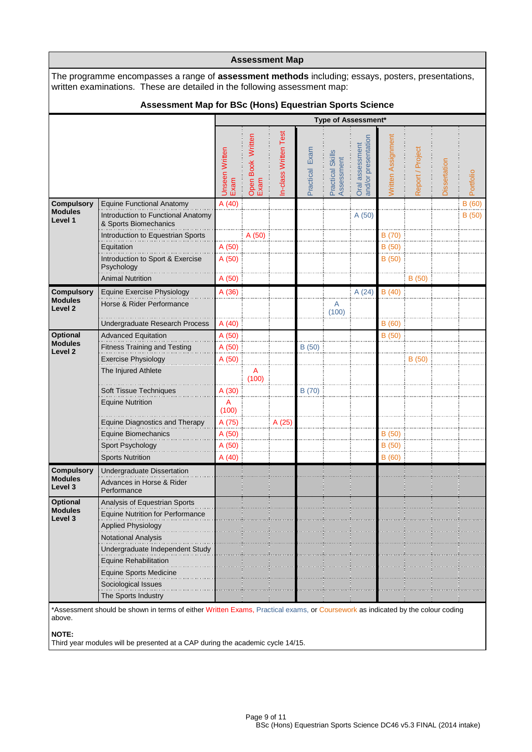| <b>Assessment Map</b>                                     |                                                                                                                                                                                 |                         |                           |                       |                   |                                |                                        |                    |                  |              |           |  |
|-----------------------------------------------------------|---------------------------------------------------------------------------------------------------------------------------------------------------------------------------------|-------------------------|---------------------------|-----------------------|-------------------|--------------------------------|----------------------------------------|--------------------|------------------|--------------|-----------|--|
|                                                           | The programme encompasses a range of assessment methods including; essays, posters, presentations,<br>written examinations. These are detailed in the following assessment map: |                         |                           |                       |                   |                                |                                        |                    |                  |              |           |  |
|                                                           | Assessment Map for BSc (Hons) Equestrian Sports Science                                                                                                                         |                         |                           |                       |                   |                                |                                        |                    |                  |              |           |  |
|                                                           |                                                                                                                                                                                 |                         |                           |                       |                   |                                | Type of Assessment*                    |                    |                  |              |           |  |
|                                                           |                                                                                                                                                                                 | Unseen Written<br>Exam  | Open Book Written<br>Exam | In-class Written Test | Exam<br>Practical | Practical Skills<br>Assessment | Oral assessment<br>and/or presentation | Written Assignment | Report / Project | Dissertation | Portfolio |  |
| <b>Compulsory</b>                                         | <b>Equine Functional Anatomy</b>                                                                                                                                                | A (40)                  |                           |                       |                   |                                |                                        |                    |                  |              | B(60)     |  |
| <b>Modules</b><br>Level 1                                 | Introduction to Functional Anatomy<br>& Sports Biomechanics                                                                                                                     |                         |                           |                       |                   |                                | A (50)                                 |                    |                  |              | B(50)     |  |
|                                                           | Introduction to Equestrian Sports                                                                                                                                               |                         | A (50)                    |                       |                   |                                |                                        | B (70)             |                  |              |           |  |
|                                                           | Equitation                                                                                                                                                                      | A(50)                   |                           |                       |                   |                                |                                        | B (50)             |                  |              |           |  |
|                                                           | Introduction to Sport & Exercise<br>Psychology                                                                                                                                  | A(50)                   |                           |                       |                   |                                |                                        | B (50)             |                  |              |           |  |
|                                                           | <b>Animal Nutrition</b>                                                                                                                                                         | A (50)                  |                           |                       |                   |                                |                                        |                    | B(50)            |              |           |  |
| <b>Compulsory</b><br><b>Modules</b><br>Level <sub>2</sub> | <b>Equine Exercise Physiology</b><br>Horse & Rider Performance                                                                                                                  | A(36)                   |                           |                       |                   | A                              | A(24)                                  | B(40)              |                  |              |           |  |
|                                                           |                                                                                                                                                                                 |                         |                           |                       |                   | (100)                          |                                        |                    |                  |              |           |  |
| Optional                                                  | Undergraduate Research Process<br><b>Advanced Equitation</b>                                                                                                                    | A(40)<br>A (50)         |                           |                       |                   |                                |                                        | B(60)<br>B(50)     |                  |              |           |  |
| <b>Modules</b>                                            | <b>Fitness Training and Testing</b>                                                                                                                                             | A (50)                  |                           |                       | B(50)             |                                |                                        |                    |                  |              |           |  |
| Level 2                                                   | <b>Exercise Physiology</b>                                                                                                                                                      | A (50)                  |                           |                       |                   |                                |                                        |                    | B (50)           |              |           |  |
|                                                           | The Injured Athlete                                                                                                                                                             |                         | Α<br>(100)                |                       |                   |                                |                                        |                    |                  |              |           |  |
|                                                           | Soft Tissue Techniques                                                                                                                                                          | A (30)                  |                           |                       | B (70)            |                                |                                        |                    |                  |              |           |  |
|                                                           | <b>Equine Nutrition</b>                                                                                                                                                         | $\overline{A}$<br>(100) |                           |                       |                   |                                |                                        |                    |                  |              |           |  |
|                                                           | <b>Equine Diagnostics and Therapy</b>                                                                                                                                           | A (75)                  |                           | A (25)                |                   |                                |                                        |                    |                  |              |           |  |
|                                                           | Equine Biomechanics                                                                                                                                                             | A (50)                  |                           |                       |                   |                                |                                        | B(50)              |                  |              |           |  |
|                                                           | Sport Psychology                                                                                                                                                                | A(50)                   |                           |                       |                   |                                |                                        | B(50)              |                  |              |           |  |
|                                                           | <b>Sports Nutrition</b>                                                                                                                                                         | A(40)                   |                           |                       |                   |                                |                                        | B (60)             |                  |              |           |  |
| <b>Compulsory</b><br><b>Modules</b>                       | Undergraduate Dissertation                                                                                                                                                      |                         |                           |                       |                   |                                |                                        |                    |                  |              |           |  |
| Level 3                                                   | Advances in Horse & Rider<br>Performance                                                                                                                                        |                         |                           |                       |                   |                                |                                        |                    |                  |              |           |  |
| Optional                                                  | Analysis of Equestrian Sports                                                                                                                                                   |                         |                           |                       |                   |                                |                                        |                    |                  |              |           |  |
| <b>Modules</b><br>Level <sub>3</sub>                      | <b>Equine Nutrition for Performance</b>                                                                                                                                         |                         |                           |                       |                   |                                |                                        |                    |                  |              |           |  |
|                                                           | <b>Applied Physiology</b>                                                                                                                                                       |                         |                           |                       |                   |                                |                                        |                    |                  |              |           |  |
|                                                           | Notational Analysis                                                                                                                                                             |                         |                           |                       |                   |                                |                                        |                    |                  |              |           |  |
|                                                           | Undergraduate Independent Study                                                                                                                                                 |                         |                           |                       |                   |                                |                                        |                    |                  |              |           |  |
|                                                           | <b>Equine Rehabilitation</b>                                                                                                                                                    |                         |                           |                       |                   |                                |                                        |                    |                  |              |           |  |
|                                                           | <b>Equine Sports Medicine</b>                                                                                                                                                   |                         |                           |                       |                   |                                |                                        |                    |                  |              |           |  |
|                                                           | Sociological Issues<br>The Sports Industry                                                                                                                                      |                         |                           |                       |                   |                                |                                        |                    |                  |              |           |  |
|                                                           | *Assessment should be shown in terms of either Written Exams, Practical exams, or Coursework as indicated by the colour coding                                                  |                         |                           |                       |                   |                                |                                        |                    |                  |              |           |  |

above.

**NOTE:**

Third year modules will be presented at a CAP during the academic cycle 14/15.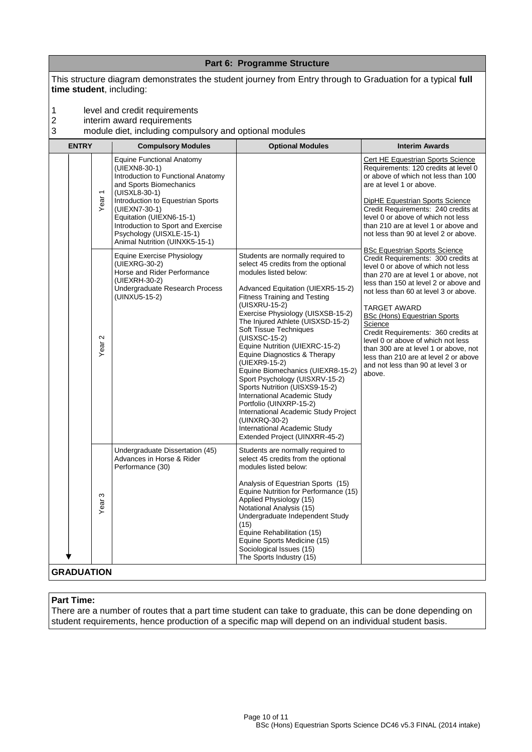|                                   |                                     |                                                                                                                                                                                                                                                                                                                           | Part 6: Programme Structure                                                                                                                                                                                                                                                                                                                                                                                                                                                                                                                                                                                                                                                                           |                                                                                                                                                                                                                                                                                                                                                                                                                                                                                                                               |
|-----------------------------------|-------------------------------------|---------------------------------------------------------------------------------------------------------------------------------------------------------------------------------------------------------------------------------------------------------------------------------------------------------------------------|-------------------------------------------------------------------------------------------------------------------------------------------------------------------------------------------------------------------------------------------------------------------------------------------------------------------------------------------------------------------------------------------------------------------------------------------------------------------------------------------------------------------------------------------------------------------------------------------------------------------------------------------------------------------------------------------------------|-------------------------------------------------------------------------------------------------------------------------------------------------------------------------------------------------------------------------------------------------------------------------------------------------------------------------------------------------------------------------------------------------------------------------------------------------------------------------------------------------------------------------------|
| time student, including:          |                                     | This structure diagram demonstrates the student journey from Entry through to Graduation for a typical full                                                                                                                                                                                                               |                                                                                                                                                                                                                                                                                                                                                                                                                                                                                                                                                                                                                                                                                                       |                                                                                                                                                                                                                                                                                                                                                                                                                                                                                                                               |
| 1<br>$\overline{\mathbf{c}}$<br>3 |                                     | level and credit requirements<br>interim award requirements<br>module diet, including compulsory and optional modules                                                                                                                                                                                                     |                                                                                                                                                                                                                                                                                                                                                                                                                                                                                                                                                                                                                                                                                                       |                                                                                                                                                                                                                                                                                                                                                                                                                                                                                                                               |
| <b>ENTRY</b>                      |                                     | <b>Compulsory Modules</b>                                                                                                                                                                                                                                                                                                 | <b>Optional Modules</b>                                                                                                                                                                                                                                                                                                                                                                                                                                                                                                                                                                                                                                                                               | <b>Interim Awards</b>                                                                                                                                                                                                                                                                                                                                                                                                                                                                                                         |
|                                   | $\overline{ }$<br>Year <sup>-</sup> | <b>Equine Functional Anatomy</b><br>(UIEXN8-30-1)<br>Introduction to Functional Anatomy<br>and Sports Biomechanics<br>(UISXL8-30-1)<br>Introduction to Equestrian Sports<br>(UIEXN7-30-1)<br>Equitation (UIEXN6-15-1)<br>Introduction to Sport and Exercise<br>Psychology (UISXLE-15-1)<br>Animal Nutrition (UINXK5-15-1) |                                                                                                                                                                                                                                                                                                                                                                                                                                                                                                                                                                                                                                                                                                       | <b>Cert HE Equestrian Sports Science</b><br>Requirements: 120 credits at level 0<br>or above of which not less than 100<br>are at level 1 or above.<br><b>DipHE Equestrian Sports Science</b><br>Credit Requirements: 240 credits at<br>level 0 or above of which not less<br>than 210 are at level 1 or above and<br>not less than 90 at level 2 or above.                                                                                                                                                                   |
|                                   | $\mathbf{\Omega}$<br>Year           | Equine Exercise Physiology<br>(UIEXRG-30-2)<br>Horse and Rider Performance<br>(UIEXRH-30-2)<br>Undergraduate Research Process<br>(UINXU5-15-2)                                                                                                                                                                            | Students are normally required to<br>select 45 credits from the optional<br>modules listed below:<br>Advanced Equitation (UIEXR5-15-2)<br><b>Fitness Training and Testing</b><br>(UISXRU-15-2)<br>Exercise Physiology (UISXSB-15-2)<br>The Injured Athlete (UISXSD-15-2)<br>Soft Tissue Techniques<br>(UISXSC-15-2)<br>Equine Nutrition (UIEXRC-15-2)<br>Equine Diagnostics & Therapy<br>(UIEXR9-15-2)<br>Equine Biomechanics (UIEXR8-15-2)<br>Sport Psychology (UISXRV-15-2)<br>Sports Nutrition (UISXS9-15-2)<br>International Academic Study<br>Portfolio (UINXRP-15-2)<br>International Academic Study Project<br>(UINXRQ-30-2)<br>International Academic Study<br>Extended Project (UINXRR-45-2) | <b>BSc Equestrian Sports Science</b><br>Credit Requirements: 300 credits at<br>level 0 or above of which not less<br>than 270 are at level 1 or above, not<br>less than 150 at level 2 or above and<br>not less than 60 at level 3 or above.<br>TARGET AWARD<br><b>BSc (Hons) Equestrian Sports</b><br>Science<br>Credit Requirements: 360 credits at<br>level 0 or above of which not less<br>than 300 are at level 1 or above, not<br>less than 210 are at level 2 or above<br>and not less than 90 at level 3 or<br>above. |
| <b>GRADUATION</b>                 | S<br>Year                           | Undergraduate Dissertation (45)<br>Advances in Horse & Rider<br>Performance (30)                                                                                                                                                                                                                                          | Students are normally required to<br>select 45 credits from the optional<br>modules listed below:<br>Analysis of Equestrian Sports (15)<br>Equine Nutrition for Performance (15)<br>Applied Physiology (15)<br>Notational Analysis (15)<br>Undergraduate Independent Study<br>(15)<br>Equine Rehabilitation (15)<br>Equine Sports Medicine (15)<br>Sociological Issues (15)<br>The Sports Industry (15)                                                                                                                                                                                                                                                                                               |                                                                                                                                                                                                                                                                                                                                                                                                                                                                                                                               |

## **Part Time:**

There are a number of routes that a part time student can take to graduate, this can be done depending on student requirements, hence production of a specific map will depend on an individual student basis.